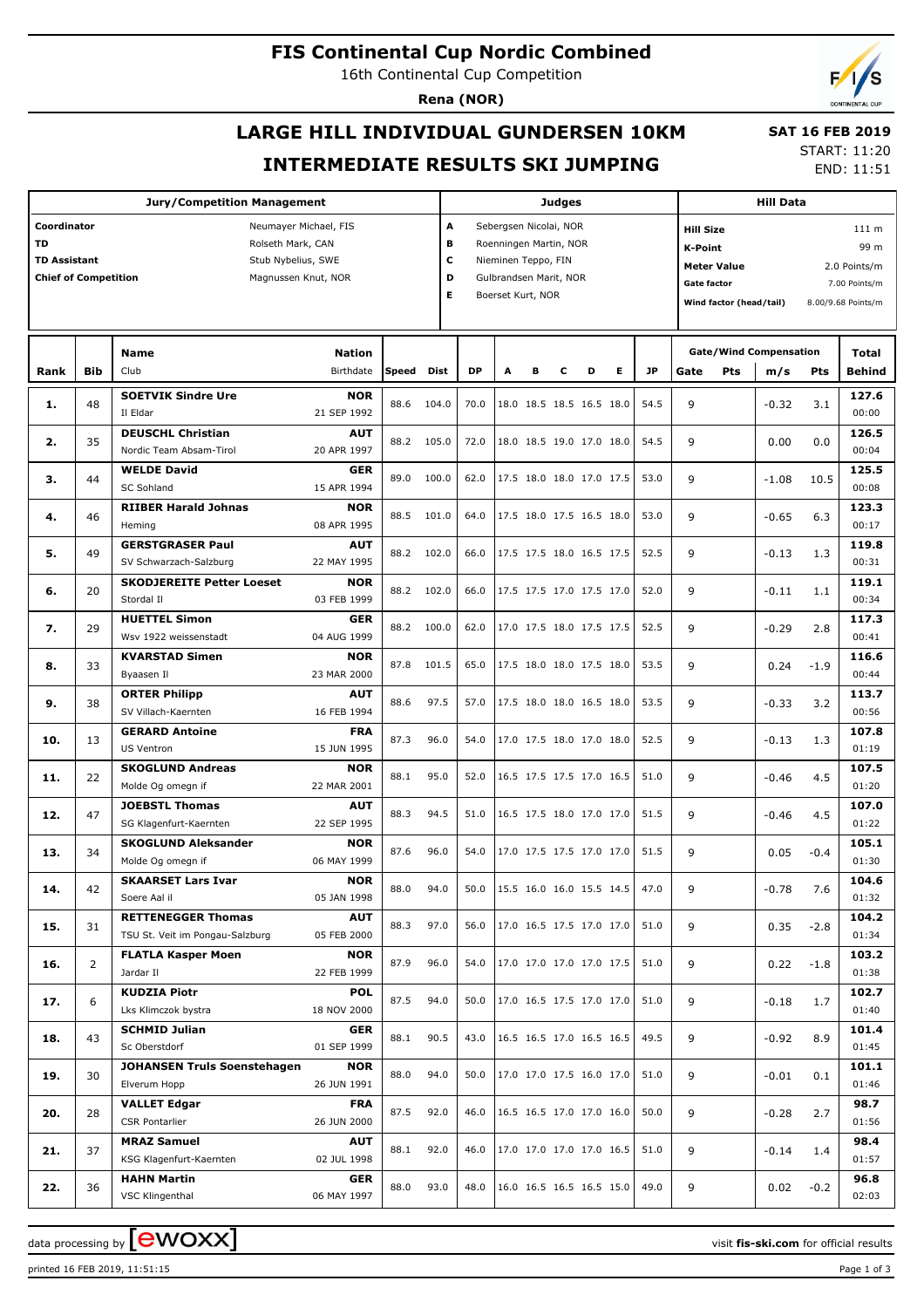# **FIS Continental Cup Nordic Combined**

16th Continental Cup Competition

**Rena (NOR)**

# **LARGE HILL INDIVIDUAL GUNDERSEN 10KM INTERMEDIATE RESULTS SKI JUMPING**

 **SAT 16 FEB 2019** START: 11:20

END: 11:51

| <b>Jury/Competition Management</b>                                                                                                                                 |                |                                                              |                           |       |       |                       |                                                                                                                        |   | <b>Judges</b> |                          | <b>Hill Data</b>                                                                                                                                                                      |                                        |         |        |                |
|--------------------------------------------------------------------------------------------------------------------------------------------------------------------|----------------|--------------------------------------------------------------|---------------------------|-------|-------|-----------------------|------------------------------------------------------------------------------------------------------------------------|---|---------------|--------------------------|---------------------------------------------------------------------------------------------------------------------------------------------------------------------------------------|----------------------------------------|---------|--------|----------------|
| Coordinator<br>Neumayer Michael, FIS<br>TD<br>Rolseth Mark, CAN<br><b>TD Assistant</b><br>Stub Nybelius, SWE<br><b>Chief of Competition</b><br>Magnussen Knut, NOR |                |                                                              |                           |       |       | A<br>В<br>c<br>D<br>Е | Sebergsen Nicolai, NOR<br>Roenningen Martin, NOR<br>Nieminen Teppo, FIN<br>Gulbrandsen Marit, NOR<br>Boerset Kurt, NOR |   |               |                          | <b>Hill Size</b><br>111 <sub>m</sub><br>99 m<br>K-Point<br><b>Meter Value</b><br>2.0 Points/m<br><b>Gate factor</b><br>7.00 Points/m<br>Wind factor (head/tail)<br>8.00/9.68 Points/m |                                        |         |        |                |
|                                                                                                                                                                    |                | Name                                                         | <b>Nation</b>             |       |       |                       |                                                                                                                        |   |               |                          |                                                                                                                                                                                       | <b>Gate/Wind Compensation</b><br>Total |         |        |                |
| Rank                                                                                                                                                               | Bib            | Club                                                         | Birthdate                 | Speed | Dist  | <b>DP</b>             | A                                                                                                                      | в | с             | Е<br>D                   | <b>JP</b>                                                                                                                                                                             | Gate<br>Pts                            | m/s     | Pts    | Behind         |
| 1.                                                                                                                                                                 | 48             | <b>SOETVIK Sindre Ure</b><br>Il Eldar                        | <b>NOR</b><br>21 SEP 1992 | 88.6  | 104.0 | 70.0                  |                                                                                                                        |   |               | 18.0 18.5 18.5 16.5 18.0 | 54.5                                                                                                                                                                                  | 9                                      | $-0.32$ | 3.1    | 127.6<br>00:00 |
| 2.                                                                                                                                                                 | 35             | <b>DEUSCHL Christian</b><br>Nordic Team Absam-Tirol          | <b>AUT</b><br>20 APR 1997 | 88.2  | 105.0 | 72.0                  |                                                                                                                        |   |               | 18.0 18.5 19.0 17.0 18.0 | 54.5                                                                                                                                                                                  | 9                                      | 0.00    | 0.0    | 126.5<br>00:04 |
| з.                                                                                                                                                                 | 44             | <b>WELDE David</b><br><b>SC Sohland</b>                      | <b>GER</b><br>15 APR 1994 | 89.0  | 100.0 | 62.0                  |                                                                                                                        |   |               | 17.5 18.0 18.0 17.0 17.5 | 53.0                                                                                                                                                                                  | 9                                      | $-1.08$ | 10.5   | 125.5<br>00:08 |
| 4.                                                                                                                                                                 | 46             | <b>RIIBER Harald Johnas</b><br>Heming                        | <b>NOR</b><br>08 APR 1995 | 88.5  | 101.0 | 64.0                  |                                                                                                                        |   |               | 17.5 18.0 17.5 16.5 18.0 | 53.0                                                                                                                                                                                  | 9                                      | $-0.65$ | 6.3    | 123.3<br>00:17 |
| 5.                                                                                                                                                                 | 49             | <b>GERSTGRASER Paul</b><br>SV Schwarzach-Salzburg            | <b>AUT</b><br>22 MAY 1995 | 88.2  | 102.0 | 66.0                  |                                                                                                                        |   |               | 17.5 17.5 18.0 16.5 17.5 | 52.5                                                                                                                                                                                  | 9                                      | $-0.13$ | 1.3    | 119.8<br>00:31 |
| 6.                                                                                                                                                                 | 20             | <b>SKODJEREITE Petter Loeset</b><br>Stordal II               | <b>NOR</b><br>03 FEB 1999 | 88.2  | 102.0 | 66.0                  |                                                                                                                        |   |               | 17.5 17.5 17.0 17.5 17.0 | 52.0                                                                                                                                                                                  | 9                                      | $-0.11$ | 1.1    | 119.1<br>00:34 |
| 7.                                                                                                                                                                 | 29             | <b>HUETTEL Simon</b><br>Wsv 1922 weissenstadt                | GER<br>04 AUG 1999        | 88.2  | 100.0 | 62.0                  |                                                                                                                        |   |               | 17.0 17.5 18.0 17.5 17.5 | 52.5                                                                                                                                                                                  | 9                                      | $-0.29$ | 2.8    | 117.3<br>00:41 |
| 8.                                                                                                                                                                 | 33             | <b>KVARSTAD Simen</b><br>Byaasen Il                          | <b>NOR</b><br>23 MAR 2000 | 87.8  | 101.5 | 65.0                  |                                                                                                                        |   |               | 17.5 18.0 18.0 17.5 18.0 | 53.5                                                                                                                                                                                  | 9                                      | 0.24    | $-1.9$ | 116.6<br>00:44 |
| 9.                                                                                                                                                                 | 38             | <b>ORTER Philipp</b><br>SV Villach-Kaernten                  | <b>AUT</b><br>16 FEB 1994 | 88.6  | 97.5  | 57.0                  |                                                                                                                        |   |               | 17.5 18.0 18.0 16.5 18.0 | 53.5                                                                                                                                                                                  | 9                                      | $-0.33$ | 3.2    | 113.7<br>00:56 |
| 10.                                                                                                                                                                | 13             | <b>GERARD Antoine</b><br><b>US Ventron</b>                   | <b>FRA</b><br>15 JUN 1995 | 87.3  | 96.0  | 54.0                  |                                                                                                                        |   |               | 17.0 17.5 18.0 17.0 18.0 | 52.5                                                                                                                                                                                  | 9                                      | $-0.13$ | 1.3    | 107.8<br>01:19 |
| 11.                                                                                                                                                                | 22             | <b>SKOGLUND Andreas</b><br>Molde Og omegn if                 | <b>NOR</b><br>22 MAR 2001 | 88.1  | 95.0  | 52.0                  |                                                                                                                        |   |               | 16.5 17.5 17.5 17.0 16.5 | 51.0                                                                                                                                                                                  | 9                                      | $-0.46$ | 4.5    | 107.5<br>01:20 |
| 12.                                                                                                                                                                | 47             | <b>JOEBSTL Thomas</b><br>SG Klagenfurt-Kaernten              | <b>AUT</b><br>22 SEP 1995 | 88.3  | 94.5  | 51.0                  |                                                                                                                        |   |               | 16.5 17.5 18.0 17.0 17.0 | 51.5                                                                                                                                                                                  | 9                                      | $-0.46$ | 4.5    | 107.0<br>01:22 |
| 13.                                                                                                                                                                | 34             | <b>SKOGLUND Aleksander</b><br>Molde Og omegn if              | <b>NOR</b><br>06 MAY 1999 | 87.6  | 96.0  | 54.0                  |                                                                                                                        |   |               | 17.0 17.5 17.5 17.0 17.0 | 51.5                                                                                                                                                                                  | 9                                      | 0.05    | $-0.4$ | 105.1<br>01:30 |
| 14.                                                                                                                                                                | 42             | <b>SKAARSET Lars Ivar</b><br>Soere Aal il                    | <b>NOR</b><br>05 JAN 1998 | 88.0  | 94.0  | 50.0                  |                                                                                                                        |   |               | 15.5 16.0 16.0 15.5 14.5 | 47.0                                                                                                                                                                                  | 9                                      | $-0.78$ | 7.6    | 104.6<br>01:32 |
| 15.                                                                                                                                                                | 31             | <b>RETTENEGGER Thomas</b><br>TSU St. Veit im Pongau-Salzburg | <b>AUT</b><br>05 FEB 2000 | 88.3  | 97.0  | 56.0                  |                                                                                                                        |   |               | 17.0 16.5 17.5 17.0 17.0 | 51.0                                                                                                                                                                                  | 9                                      | 0.35    | $-2.8$ | 104.2<br>01:34 |
| 16.                                                                                                                                                                | $\overline{2}$ | <b>FLATLA Kasper Moen</b><br>Jardar II                       | <b>NOR</b><br>22 FEB 1999 | 87.9  | 96.0  | 54.0                  |                                                                                                                        |   |               | 17.0 17.0 17.0 17.0 17.5 | 51.0                                                                                                                                                                                  | 9                                      | 0.22    | $-1.8$ | 103.2<br>01:38 |
| 17.                                                                                                                                                                | 6              | <b>KUDZIA Piotr</b><br>Lks Klimczok bystra                   | <b>POL</b><br>18 NOV 2000 | 87.5  | 94.0  | 50.0                  |                                                                                                                        |   |               | 17.0 16.5 17.5 17.0 17.0 | 51.0                                                                                                                                                                                  | 9                                      | $-0.18$ | 1.7    | 102.7<br>01:40 |
| 18.                                                                                                                                                                | 43             | <b>SCHMID Julian</b><br>Sc Oberstdorf                        | GER<br>01 SEP 1999        | 88.1  | 90.5  | 43.0                  |                                                                                                                        |   |               | 16.5 16.5 17.0 16.5 16.5 | 49.5                                                                                                                                                                                  | 9                                      | $-0.92$ | 8.9    | 101.4<br>01:45 |
| 19.                                                                                                                                                                | 30             | <b>JOHANSEN Truls Soenstehagen</b><br>Elverum Hopp           | <b>NOR</b><br>26 JUN 1991 | 88.0  | 94.0  | 50.0                  |                                                                                                                        |   |               | 17.0 17.0 17.5 16.0 17.0 | 51.0                                                                                                                                                                                  | 9                                      | $-0.01$ | 0.1    | 101.1<br>01:46 |
| 20.                                                                                                                                                                | 28             | <b>VALLET Edgar</b><br><b>CSR Pontarlier</b>                 | <b>FRA</b><br>26 JUN 2000 | 87.5  | 92.0  | 46.0                  |                                                                                                                        |   |               | 16.5 16.5 17.0 17.0 16.0 | 50.0                                                                                                                                                                                  | 9                                      | $-0.28$ | 2.7    | 98.7<br>01:56  |
| 21.                                                                                                                                                                | 37             | <b>MRAZ Samuel</b><br>KSG Klagenfurt-Kaernten                | AUT<br>02 JUL 1998        | 88.1  | 92.0  | 46.0                  |                                                                                                                        |   |               | 17.0 17.0 17.0 17.0 16.5 | 51.0                                                                                                                                                                                  | 9                                      | -0.14   | 1.4    | 98.4<br>01:57  |
| 22.                                                                                                                                                                | 36             | <b>HAHN Martin</b><br>VSC Klingenthal                        | GER<br>06 MAY 1997        | 88.0  | 93.0  | 48.0                  |                                                                                                                        |   |               | 16.0 16.5 16.5 16.5 15.0 | 49.0                                                                                                                                                                                  | 9                                      | 0.02    | $-0.2$ | 96.8<br>02:03  |

data processing by **CWOXX** and  $\overline{A}$  wisit **fis-ski.com** for official results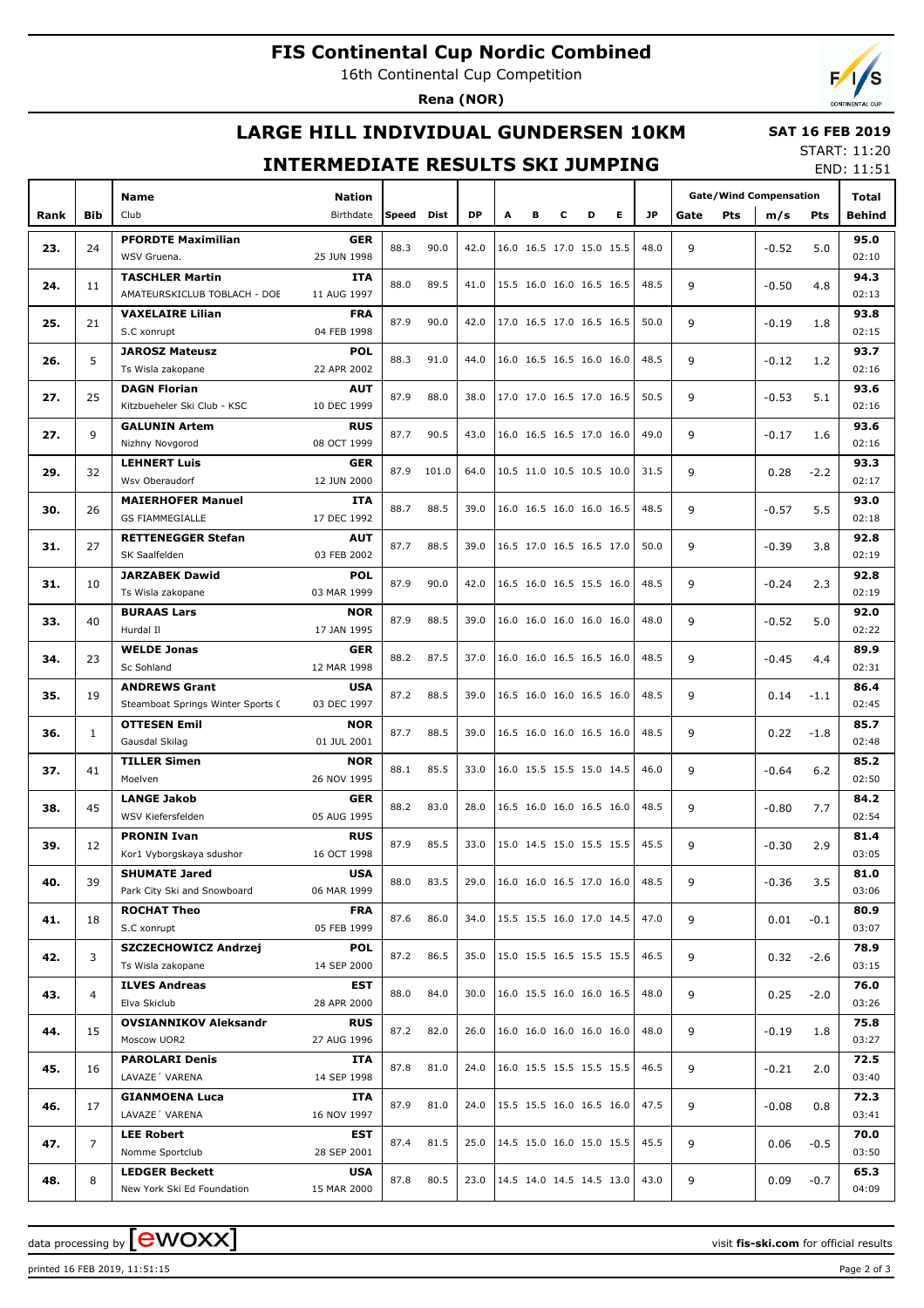# **FIS Continental Cup Nordic Combined**

16th Continental Cup Competition

**Rena (NOR)**

# **LARGE HILL INDIVIDUAL GUNDERSEN 10KM**

### **SAT 16 FEB 2019**

## **INTERMEDIATE RESULTS SKI JUMPING**

START: 11:20 END: 11:51

|      |                |                                   |               |                    |       |      |   |   |   |                                      | ___________              |           |                               |            |         |        |        |
|------|----------------|-----------------------------------|---------------|--------------------|-------|------|---|---|---|--------------------------------------|--------------------------|-----------|-------------------------------|------------|---------|--------|--------|
|      |                | <b>Name</b>                       | <b>Nation</b> |                    |       |      |   |   |   |                                      |                          |           | <b>Gate/Wind Compensation</b> |            |         |        | Total  |
| Rank | <b>Bib</b>     | Club                              | Birthdate     | Speed              | Dist  | DP   | А | в | c | D                                    | E.                       | <b>JP</b> | Gate                          | <b>Pts</b> | m/s     | Pts    | Behind |
|      |                |                                   |               |                    |       |      |   |   |   |                                      |                          |           |                               |            |         |        |        |
| 23.  | 24             | <b>PFORDTE Maximilian</b>         | <b>GER</b>    | 88.3               | 90.0  | 42.0 |   |   |   | 16.0 16.5 17.0 15.0 15.5             |                          | 48.0      | 9                             |            | $-0.52$ | 5.0    | 95.0   |
|      |                | WSV Gruena.                       | 25 JUN 1998   |                    |       |      |   |   |   |                                      |                          |           |                               |            |         |        | 02:10  |
|      |                | <b>TASCHLER Martin</b>            | <b>ITA</b>    |                    |       |      |   |   |   |                                      |                          |           |                               |            |         |        | 94.3   |
| 24.  | 11             | AMATEURSKICLUB TOBLACH - DOE      | 11 AUG 1997   | 88.0               | 89.5  | 41.0 |   |   |   | 15.5 16.0 16.0 16.5 16.5             |                          | 48.5      | 9                             |            | $-0.50$ | 4.8    | 02:13  |
|      |                | <b>VAXELAIRE Lilian</b>           | <b>FRA</b>    |                    |       |      |   |   |   |                                      |                          |           |                               |            |         |        | 93.8   |
| 25.  | 21             | S.C xonrupt                       | 04 FEB 1998   | 87.9               | 90.0  | 42.0 |   |   |   | 17.0 16.5 17.0 16.5 16.5             |                          | 50.0      | 9                             |            | $-0.19$ | 1.8    | 02:15  |
|      |                | <b>JAROSZ Mateusz</b>             | <b>POL</b>    |                    |       |      |   |   |   |                                      |                          |           |                               |            |         |        | 93.7   |
| 26.  | 5              | Ts Wisla zakopane                 | 22 APR 2002   | 88.3               | 91.0  | 44.0 |   |   |   | 16.0 16.5 16.5 16.0 16.0             |                          | 48.5      | 9                             |            | $-0.12$ | 1.2    | 02:16  |
|      |                |                                   |               |                    |       |      |   |   |   |                                      |                          |           |                               |            |         |        |        |
| 27.  | 25             | <b>DAGN Florian</b>               | <b>AUT</b>    | 87.9               | 88.0  | 38.0 |   |   |   | 17.0 17.0 16.5 17.0 16.5             |                          | 50.5      | 9                             |            | $-0.53$ | 5.1    | 93.6   |
|      |                | Kitzbueheler Ski Club - KSC       | 10 DEC 1999   |                    |       |      |   |   |   |                                      |                          |           |                               |            |         |        | 02:16  |
| 27.  | 9              | <b>GALUNIN Artem</b>              | <b>RUS</b>    | 87.7               | 90.5  | 43.0 |   |   |   | 16.0 16.5 16.5 17.0 16.0             |                          | 49.0      | 9                             |            | $-0.17$ | 1.6    | 93.6   |
|      |                | Nizhny Novgorod                   | 08 OCT 1999   |                    |       |      |   |   |   |                                      |                          |           |                               |            |         |        | 02:16  |
| 29.  | 32             | <b>LEHNERT Luis</b>               | <b>GER</b>    | 87.9               | 101.0 | 64.0 |   |   |   | 10.5 11.0 10.5 10.5 10.0             |                          | 31.5      | 9                             |            | 0.28    | $-2.2$ | 93.3   |
|      |                | Wsv Oberaudorf                    | 12 JUN 2000   |                    |       |      |   |   |   |                                      |                          |           |                               |            |         |        | 02:17  |
| 30.  | 26             | <b>MAIERHOFER Manuel</b>          | <b>ITA</b>    | 88.7               | 88.5  | 39.0 |   |   |   | 16.0 16.5 16.0 16.0 16.5             |                          | 48.5      | 9                             |            | $-0.57$ | 5.5    | 93.0   |
|      |                | <b>GS FIAMMEGIALLE</b>            | 17 DEC 1992   |                    |       |      |   |   |   |                                      |                          |           |                               |            |         |        | 02:18  |
|      |                | <b>RETTENEGGER Stefan</b>         | AUT           | 87.7               | 88.5  | 39.0 |   |   |   | 16.5 17.0 16.5 16.5 17.0             |                          | 50.0      |                               |            |         |        | 92.8   |
| 31.  | 27             | SK Saalfelden                     | 03 FEB 2002   |                    |       |      |   |   |   |                                      |                          |           | 9                             |            | $-0.39$ | 3.8    | 02:19  |
|      |                | <b>JARZABEK Dawid</b>             | <b>POL</b>    |                    |       |      |   |   |   |                                      |                          |           |                               |            |         |        | 92.8   |
| 31.  | 10             | Ts Wisla zakopane                 | 03 MAR 1999   | 87.9               | 90.0  | 42.0 |   |   |   | 16.5 16.0 16.5 15.5 16.0             |                          | 48.5      | 9                             |            | $-0.24$ | 2.3    | 02:19  |
|      | 40             | <b>BURAAS Lars</b>                | <b>NOR</b>    |                    |       |      |   |   |   |                                      |                          |           |                               |            |         | 92.0   |        |
| 33.  |                | Hurdal II                         | 17 JAN 1995   | 87.9               | 88.5  | 39.0 |   |   |   | 16.0 16.0 16.0 16.0 16.0             |                          | 48.0      | 9                             |            | $-0.52$ | 5.0    | 02:22  |
| 34.  | 23             | <b>WELDE Jonas</b>                |               | <b>GER</b>         |       |      |   |   |   |                                      |                          |           |                               |            |         | 89.9   |        |
|      |                | Sc Sohland                        | 12 MAR 1998   | 88.2               | 87.5  | 37.0 |   |   |   | 16.0 16.0 16.5 16.5 16.0             |                          | 48.5      | 9                             |            | $-0.45$ | 4.4    | 02:31  |
| 35.  | 19             | <b>ANDREWS Grant</b>              | <b>USA</b>    |                    |       |      |   |   |   |                                      |                          |           |                               |            |         | 86.4   |        |
|      |                |                                   | 03 DEC 1997   | 87.2               | 88.5  | 39.0 |   |   |   | 16.5 16.0 16.0 16.5 16.0             |                          | 48.5      | 9                             |            | 0.14    | $-1.1$ | 02:45  |
|      | $\mathbf{1}$   | Steamboat Springs Winter Sports C |               |                    |       |      |   |   |   |                                      |                          |           |                               |            |         |        |        |
| 36.  |                | <b>OTTESEN Emil</b>               | <b>NOR</b>    | 87.7               | 88.5  | 39.0 |   |   |   | 16.5 16.0 16.0 16.5 16.0             |                          | 48.5      | 9                             |            | 0.22    | $-1.8$ | 85.7   |
|      |                | Gausdal Skilag                    | 01 JUL 2001   |                    |       |      |   |   |   |                                      |                          |           |                               |            |         |        | 02:48  |
| 37.  | 41             | <b>TILLER Simen</b>               |               | <b>NOR</b><br>88.1 | 85.5  | 33.0 |   |   |   | 16.0 15.5 15.5 15.0 14.5             |                          | 46.0      | 9                             |            | $-0.64$ | 6.2    | 85.2   |
|      |                | Moelven                           | 26 NOV 1995   |                    |       |      |   |   |   |                                      |                          |           |                               |            |         |        | 02:50  |
| 38.  | 45             | <b>LANGE Jakob</b>                | <b>GER</b>    | 88.2               | 83.0  | 28.0 |   |   |   | 16.5 16.0 16.0 16.5 16.0             |                          | 48.5      |                               | 9          | $-0.80$ | 7.7    | 84.2   |
|      |                | WSV Kiefersfelden                 | 05 AUG 1995   |                    |       |      |   |   |   |                                      |                          |           |                               |            |         |        | 02:54  |
| 39.  | 12             | <b>PRONIN Ivan</b>                | <b>RUS</b>    | 87.9               | 85.5  | 33.0 |   |   |   |                                      | 15.0 14.5 15.0 15.5 15.5 | 45.5      | 9                             |            | $-0.30$ | 2.9    | 81.4   |
|      |                | Kor1 Vyborgskaya sdushor          | 16 OCT 1998   |                    |       |      |   |   |   |                                      |                          |           |                               |            |         |        | 03:05  |
|      |                | <b>SHUMATE Jared</b>              | <b>USA</b>    |                    |       |      |   |   |   |                                      |                          |           |                               |            |         |        | 81.0   |
| 40.  | 39             | Park City Ski and Snowboard       | 06 MAR 1999   | 88.0               | 83.5  | 29.0 |   |   |   | 16.0 16.0 16.5 17.0 16.0             |                          | 48.5      | 9                             |            | $-0.36$ | 3.5    | 03:06  |
|      |                | <b>ROCHAT Theo</b>                | <b>FRA</b>    |                    |       |      |   |   |   |                                      |                          |           |                               |            |         |        | 80.9   |
| 41.  | 18             | S.C xonrupt                       | 05 FEB 1999   | 87.6               | 86.0  | 34.0 |   |   |   | 15.5 15.5 16.0 17.0 14.5             |                          | 47.0      | 9                             |            | 0.01    | $-0.1$ | 03:07  |
|      |                | <b>SZCZECHOWICZ Andrzej</b>       | <b>POL</b>    |                    |       |      |   |   |   |                                      |                          |           |                               |            |         |        | 78.9   |
| 42.  | 3              | Ts Wisla zakopane                 | 14 SEP 2000   | 87.2               | 86.5  | 35.0 |   |   |   | 15.0 15.5 16.5 15.5 15.5             |                          | 46.5      | 9                             |            | 0.32    | $-2.6$ | 03:15  |
|      |                | <b>ILVES Andreas</b>              | EST           |                    |       |      |   |   |   |                                      |                          |           |                               |            |         |        | 76.0   |
| 43.  | 4              | Elva Skiclub                      | 28 APR 2000   | 88.0               | 84.0  | 30.0 |   |   |   | 16.0 15.5 16.0 16.0 16.5             |                          | 48.0      | 9                             |            | 0.25    | $-2.0$ | 03:26  |
|      |                | <b>OVSIANNIKOV Aleksandr</b>      |               |                    |       |      |   |   |   |                                      |                          |           |                               |            |         |        |        |
| 44.  | 15             |                                   | <b>RUS</b>    | 87.2               | 82.0  | 26.0 |   |   |   | 16.0 16.0 16.0 16.0 16.0             |                          | 48.0      | 9                             |            | $-0.19$ | 1.8    | 75.8   |
|      |                | Moscow UOR2                       | 27 AUG 1996   |                    |       |      |   |   |   |                                      |                          |           |                               |            |         |        | 03:27  |
| 45.  | 16             | <b>PAROLARI Denis</b>             | ITA           | 87.8               | 81.0  | 24.0 |   |   |   | 16.0 15.5 15.5 15.5 15.5             |                          | 46.5      | 9                             |            | $-0.21$ | 2.0    | 72.5   |
|      |                | LAVAZE' VARENA                    | 14 SEP 1998   |                    |       |      |   |   |   |                                      |                          |           |                               |            |         |        | 03:40  |
| 46.  | 17             | <b>GIANMOENA Luca</b>             | ITA           | 87.9               | 81.0  | 24.0 |   |   |   |                                      | 15.5 15.5 16.0 16.5 16.0 | 47.5      | 9                             |            | $-0.08$ | 0.8    | 72.3   |
|      |                | LAVAZE' VARENA                    | 16 NOV 1997   |                    |       |      |   |   |   |                                      |                          |           |                               |            |         |        | 03:41  |
| 47.  | $\overline{7}$ | <b>LEE Robert</b>                 | EST           | 87.4               | 81.5  | 25.0 |   |   |   |                                      |                          | 45.5      | 9                             |            | 0.06    | $-0.5$ | 70.0   |
|      |                | Nomme Sportclub                   | 28 SEP 2001   |                    |       |      |   |   |   |                                      | 14.5 15.0 16.0 15.0 15.5 |           |                               |            |         |        | 03:50  |
|      |                | <b>LEDGER Beckett</b>             | <b>USA</b>    |                    |       |      |   |   |   |                                      |                          |           |                               |            |         |        | 65.3   |
| 48.  | 8              | New York Ski Ed Foundation        | 15 MAR 2000   | 87.8               | 80.5  | 23.0 |   |   |   | $ 14.5 \t14.0 \t14.5 \t14.5 \t13.0 $ |                          | 43.0      | 9                             |            | 0.09    | $-0.7$ | 04:09  |

data processing by **CWOXX** and  $\overline{A}$  wisit **fis-ski.com** for official results